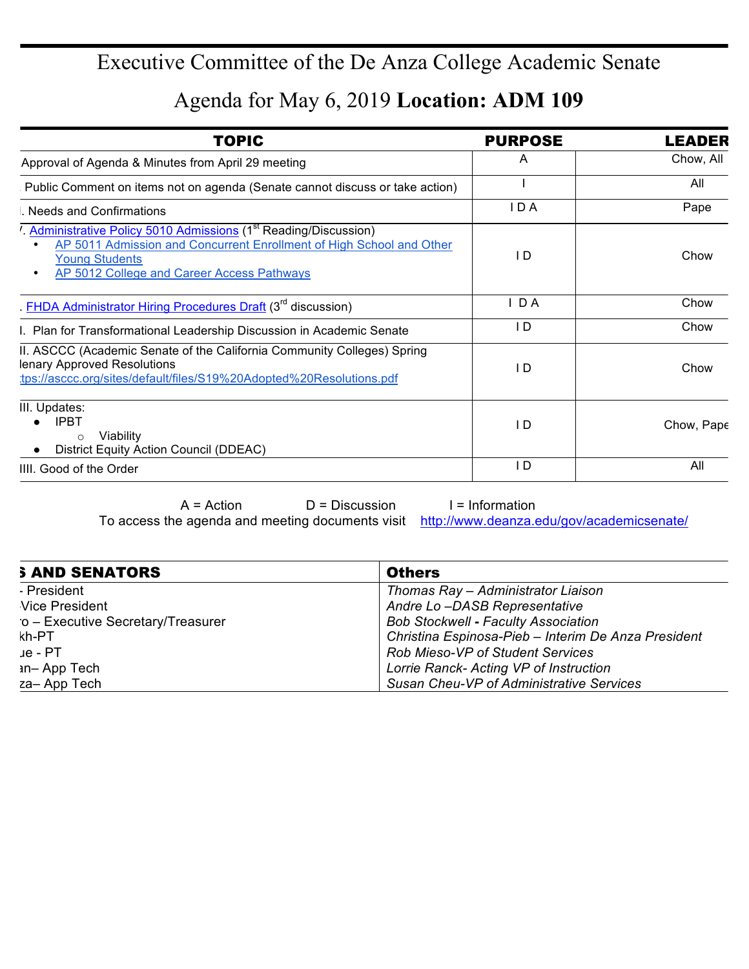## Executive Committee of the De Anza College Academic Senate

Agenda for May 6, 2019 **Location: ADM 109**

| <b>TOPIC</b>                                                                                                                                                                                                              | <b>PURPOSE</b> | LEADER     |
|---------------------------------------------------------------------------------------------------------------------------------------------------------------------------------------------------------------------------|----------------|------------|
| Approval of Agenda & Minutes from April 29 meeting                                                                                                                                                                        | A              | Chow, All  |
| Public Comment on items not on agenda (Senate cannot discuss or take action)                                                                                                                                              |                | All        |
| Needs and Confirmations                                                                                                                                                                                                   | I D A          | Pape       |
| Administrative Policy 5010 Admissions (1 <sup>st</sup> Reading/Discussion)<br>AP 5011 Admission and Concurrent Enrollment of High School and Other<br><b>Young Students</b><br>AP 5012 College and Career Access Pathways | I D            | Chow       |
| . FHDA Administrator Hiring Procedures Draft (3 <sup>rd</sup> discussion)                                                                                                                                                 | $I$ D A        | Chow       |
| I. Plan for Transformational Leadership Discussion in Academic Senate                                                                                                                                                     | I D            | Chow       |
| II. ASCCC (Academic Senate of the California Community Colleges) Spring<br>lenary Approved Resolutions<br>tps://asccc.org/sites/default/files/S19%20Adopted%20Resolutions.pdf                                             | I D            | Chow       |
| III. Updates:<br><b>IPBT</b><br>Viability<br>$\circ$<br>District Equity Action Council (DDEAC)                                                                                                                            | I D            | Chow, Pape |
| IIII. Good of the Order                                                                                                                                                                                                   | D              | All        |
|                                                                                                                                                                                                                           |                |            |

 $A = Action$   $D = Discussion$  I = Information To access the agenda and meeting documents visit http://www.deanza.edu/gov/academicsenate/

| <b>S AND SENATORS</b>                             | <b>Others</b>                                       |
|---------------------------------------------------|-----------------------------------------------------|
| - President<br>Thomas Ray - Administrator Liaison |                                                     |
| Vice President                                    | Andre Lo-DASB Representative                        |
| o - Executive Secretary/Treasurer                 | <b>Bob Stockwell - Faculty Association</b>          |
| kh-PT                                             | Christina Espinosa-Pieb - Interim De Anza President |
| $\mu$ e - PT                                      | <b>Rob Mieso-VP of Student Services</b>             |
| <b>an-App Tech</b>                                | Lorrie Ranck- Acting VP of Instruction              |
| za-App Tech                                       | Susan Cheu-VP of Administrative Services            |